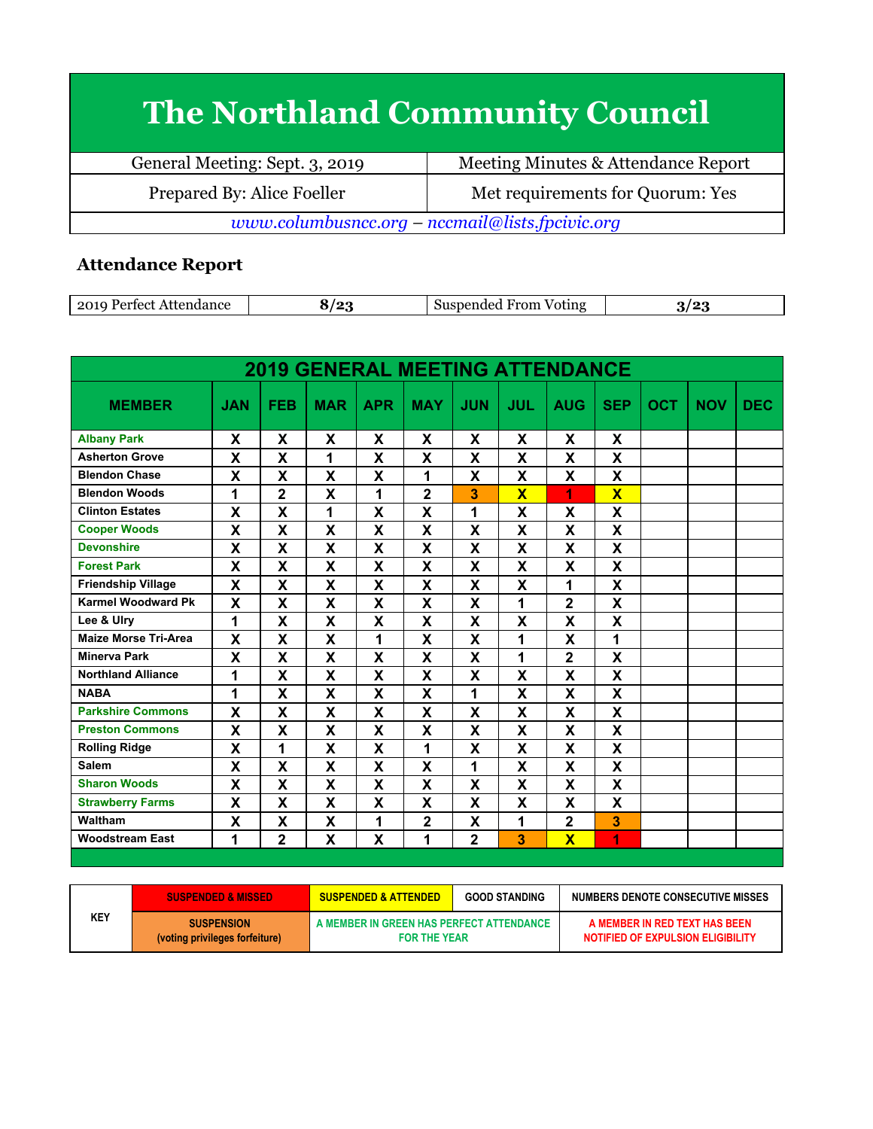## **The Northland Community Council**

| General Meeting: Sept. 3, 2019                  | Meeting Minutes & Attendance Report |  |  |
|-------------------------------------------------|-------------------------------------|--|--|
| Prepared By: Alice Foeller                      | Met requirements for Quorum: Yes    |  |  |
| www.columbusncc.org - nccmail@lists.fpcivic.org |                                     |  |  |

## **Attendance Report**

| 201<br>، ہ<br>/oting<br>$n \alpha$<br>- 11<br>$\sim$<br>- - |  |
|-------------------------------------------------------------|--|
|-------------------------------------------------------------|--|

| <b>2019 GENERAL MEETING ATTENDANCE</b> |                           |                         |            |                           |                           |                           |             |                         |                           |            |            |            |
|----------------------------------------|---------------------------|-------------------------|------------|---------------------------|---------------------------|---------------------------|-------------|-------------------------|---------------------------|------------|------------|------------|
| <b>MEMBER</b>                          | <b>JAN</b>                | <b>FEB</b>              | <b>MAR</b> | <b>APR</b>                | <b>MAY</b>                | <b>JUN</b>                | JUL         | <b>AUG</b>              | <b>SEP</b>                | <b>OCT</b> | <b>NOV</b> | <b>DEC</b> |
| <b>Albany Park</b>                     | X                         | X                       | X          | X                         | X                         | X                         | X           | X                       | X                         |            |            |            |
| <b>Asherton Grove</b>                  | X                         | X                       | 1          | X                         | $\boldsymbol{\mathsf{X}}$ | X                         | X           | X                       | X                         |            |            |            |
| <b>Blendon Chase</b>                   | $\boldsymbol{\mathsf{x}}$ | X                       | X          | X                         | 1                         | $\mathbf{x}$              | X           | X                       | X                         |            |            |            |
| <b>Blendon Woods</b>                   | 1                         | $\overline{2}$          | X          | 1                         | $\overline{2}$            | 3                         | $\mathbf x$ | 1                       | $\overline{\mathbf{X}}$   |            |            |            |
| <b>Clinton Estates</b>                 | X                         | X                       | 1          | X                         | $\boldsymbol{\mathsf{x}}$ | 1                         | X           | X                       | X                         |            |            |            |
| <b>Cooper Woods</b>                    | $\boldsymbol{\mathsf{X}}$ | X                       | X          | X                         | X                         | X                         | X           | X                       | X                         |            |            |            |
| <b>Devonshire</b>                      | X                         | X                       | X          | X                         | X                         | X                         | X           | X                       | X                         |            |            |            |
| <b>Forest Park</b>                     | $\mathbf x$               | X                       | X          | X                         | $\mathbf x$               | $\boldsymbol{\mathsf{x}}$ | X           | X                       | X                         |            |            |            |
| <b>Friendship Village</b>              | X                         | X                       | X          | X                         | X                         | X                         | X           | 1                       | X                         |            |            |            |
| <b>Karmel Woodward Pk</b>              | $\boldsymbol{\mathsf{x}}$ | X                       | X          | X                         | $\boldsymbol{\mathsf{x}}$ | X                         | 1           | $\overline{2}$          | X                         |            |            |            |
| Lee & Ulry                             | 1                         | X                       | X          | X                         | X                         | X                         | X           | X                       | X                         |            |            |            |
| <b>Maize Morse Tri-Area</b>            | X                         | X                       | X          | 1                         | X                         | X                         | 1           | X                       | 1                         |            |            |            |
| <b>Minerva Park</b>                    | $\boldsymbol{\mathsf{x}}$ | $\overline{\mathbf{X}}$ | X          | $\boldsymbol{\mathsf{x}}$ | $\mathbf x$               | $\mathbf x$               | 1           | $\overline{2}$          | $\boldsymbol{\mathsf{x}}$ |            |            |            |
| <b>Northland Alliance</b>              | 1                         | X                       | X          | X                         | X                         | X                         | X           | X                       | X                         |            |            |            |
| <b>NABA</b>                            | 1                         | X                       | X          | X                         | $\boldsymbol{\mathsf{x}}$ | 1                         | X           | X                       | X                         |            |            |            |
| <b>Parkshire Commons</b>               | X                         | X                       | X          | X                         | X                         | X                         | X           | X                       | X                         |            |            |            |
| <b>Preston Commons</b>                 | X                         | X                       | X          | X                         | X                         | X                         | X           | X                       | X                         |            |            |            |
| <b>Rolling Ridge</b>                   | X                         | $\overline{\mathbf{1}}$ | X          | X                         | 1                         | X                         | X           | X                       | X                         |            |            |            |
| <b>Salem</b>                           | $\boldsymbol{\mathsf{x}}$ | X                       | X          | X                         | $\mathbf x$               | 1                         | X           | X                       | X                         |            |            |            |
| <b>Sharon Woods</b>                    | $\mathbf x$               | X                       | X          | X                         | $\mathbf x$               | X                         | X           | X                       | X                         |            |            |            |
| <b>Strawberry Farms</b>                | X                         | X                       | X          | X                         | X                         | X                         | X           | X                       | X                         |            |            |            |
| Waltham                                | X                         | X                       | X          | 1                         | $\overline{\mathbf{2}}$   | X                         | 1           | $\overline{\mathbf{2}}$ | 3                         |            |            |            |
| <b>Woodstream East</b>                 | 1                         | $\overline{2}$          | X          | X                         | 1                         | $\overline{2}$            | 3           | $\overline{\mathbf{X}}$ | 1                         |            |            |            |

| <b>SUSPENDED &amp; MISSED</b><br>KEY<br><b>SUSPENSION</b> |                                | <b>GOOD STANDING</b><br><b>SUSPENDED &amp; ATTENDED</b>         |  | NUMBERS DENOTE CONSECUTIVE MISSES                                  |  |
|-----------------------------------------------------------|--------------------------------|-----------------------------------------------------------------|--|--------------------------------------------------------------------|--|
|                                                           | (voting privileges forfeiture) | A MEMBER IN GREEN HAS PERFECT ATTENDANCE<br><b>FOR THE YEAR</b> |  | A MEMBER IN RED TEXT HAS BEEN<br>NOTIFIED OF EXPULSION ELIGIBILITY |  |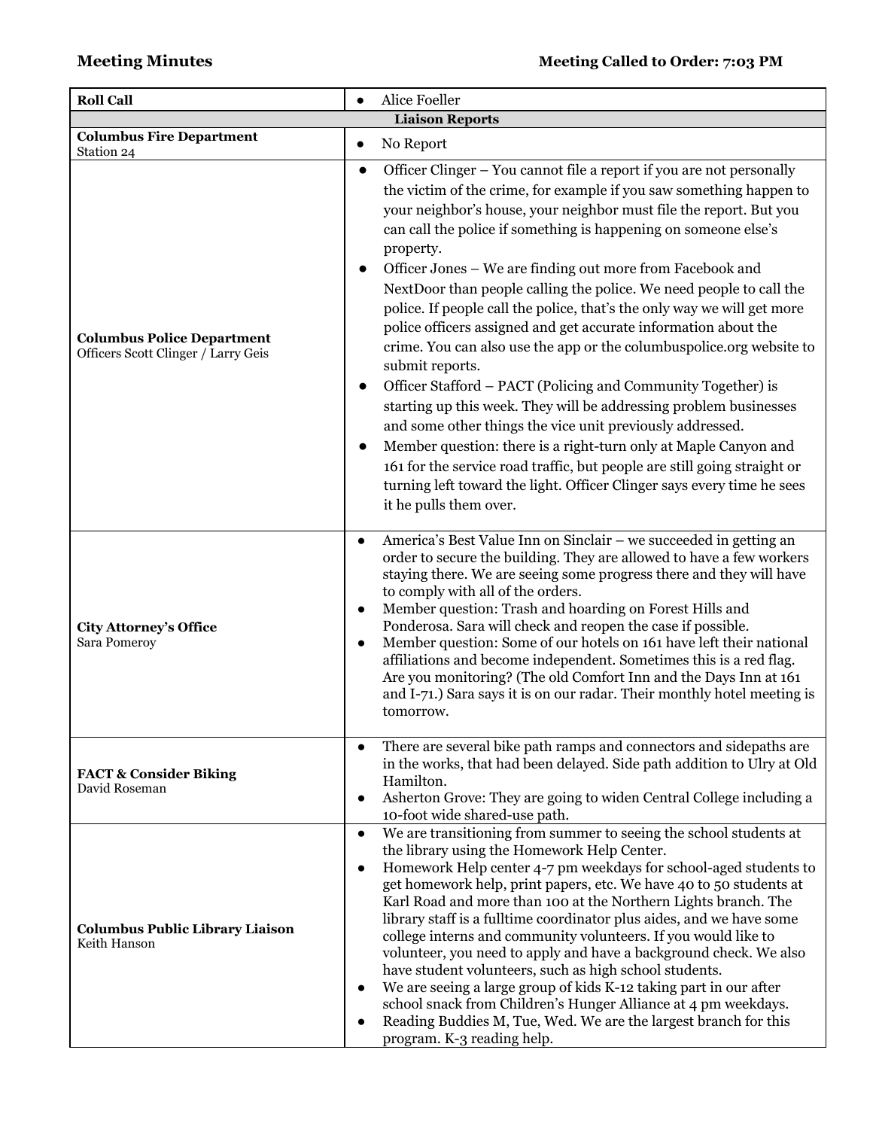| <b>Roll Call</b>                                                         | Alice Foeller                                                                                                                                                                                                                                                                                                                                                                                                                                                                                                                                                                                                                                                                                                                                                                                                                                                                                                                                                                                                                                                                                                                                                 |  |  |  |  |
|--------------------------------------------------------------------------|---------------------------------------------------------------------------------------------------------------------------------------------------------------------------------------------------------------------------------------------------------------------------------------------------------------------------------------------------------------------------------------------------------------------------------------------------------------------------------------------------------------------------------------------------------------------------------------------------------------------------------------------------------------------------------------------------------------------------------------------------------------------------------------------------------------------------------------------------------------------------------------------------------------------------------------------------------------------------------------------------------------------------------------------------------------------------------------------------------------------------------------------------------------|--|--|--|--|
| <b>Liaison Reports</b>                                                   |                                                                                                                                                                                                                                                                                                                                                                                                                                                                                                                                                                                                                                                                                                                                                                                                                                                                                                                                                                                                                                                                                                                                                               |  |  |  |  |
| <b>Columbus Fire Department</b><br>Station 24                            | No Report<br>$\bullet$                                                                                                                                                                                                                                                                                                                                                                                                                                                                                                                                                                                                                                                                                                                                                                                                                                                                                                                                                                                                                                                                                                                                        |  |  |  |  |
| <b>Columbus Police Department</b><br>Officers Scott Clinger / Larry Geis | Officer Clinger - You cannot file a report if you are not personally<br>$\bullet$<br>the victim of the crime, for example if you saw something happen to<br>your neighbor's house, your neighbor must file the report. But you<br>can call the police if something is happening on someone else's<br>property.<br>Officer Jones - We are finding out more from Facebook and<br>NextDoor than people calling the police. We need people to call the<br>police. If people call the police, that's the only way we will get more<br>police officers assigned and get accurate information about the<br>crime. You can also use the app or the columbuspolice.org website to<br>submit reports.<br>Officer Stafford - PACT (Policing and Community Together) is<br>$\bullet$<br>starting up this week. They will be addressing problem businesses<br>and some other things the vice unit previously addressed.<br>Member question: there is a right-turn only at Maple Canyon and<br>161 for the service road traffic, but people are still going straight or<br>turning left toward the light. Officer Clinger says every time he sees<br>it he pulls them over. |  |  |  |  |
| <b>City Attorney's Office</b><br>Sara Pomeroy                            | America's Best Value Inn on Sinclair - we succeeded in getting an<br>order to secure the building. They are allowed to have a few workers<br>staying there. We are seeing some progress there and they will have<br>to comply with all of the orders.<br>Member question: Trash and hoarding on Forest Hills and<br>$\bullet$<br>Ponderosa. Sara will check and reopen the case if possible.<br>Member question: Some of our hotels on 161 have left their national<br>$\bullet$<br>affiliations and become independent. Sometimes this is a red flag.<br>Are you monitoring? (The old Comfort Inn and the Days Inn at 161<br>and I-71.) Sara says it is on our radar. Their monthly hotel meeting is<br>tomorrow.                                                                                                                                                                                                                                                                                                                                                                                                                                            |  |  |  |  |
| <b>FACT &amp; Consider Biking</b><br>David Roseman                       | There are several bike path ramps and connectors and sidepaths are<br>in the works, that had been delayed. Side path addition to Ulry at Old<br>Hamilton.<br>Asherton Grove: They are going to widen Central College including a<br>10-foot wide shared-use path.                                                                                                                                                                                                                                                                                                                                                                                                                                                                                                                                                                                                                                                                                                                                                                                                                                                                                             |  |  |  |  |
| <b>Columbus Public Library Liaison</b><br>Keith Hanson                   | We are transitioning from summer to seeing the school students at<br>$\bullet$<br>the library using the Homework Help Center.<br>Homework Help center 4-7 pm weekdays for school-aged students to<br>get homework help, print papers, etc. We have 40 to 50 students at<br>Karl Road and more than 100 at the Northern Lights branch. The<br>library staff is a fulltime coordinator plus aides, and we have some<br>college interns and community volunteers. If you would like to<br>volunteer, you need to apply and have a background check. We also<br>have student volunteers, such as high school students.<br>We are seeing a large group of kids K-12 taking part in our after<br>school snack from Children's Hunger Alliance at 4 pm weekdays.<br>Reading Buddies M, Tue, Wed. We are the largest branch for this<br>$\bullet$<br>program. K-3 reading help.                                                                                                                                                                                                                                                                                       |  |  |  |  |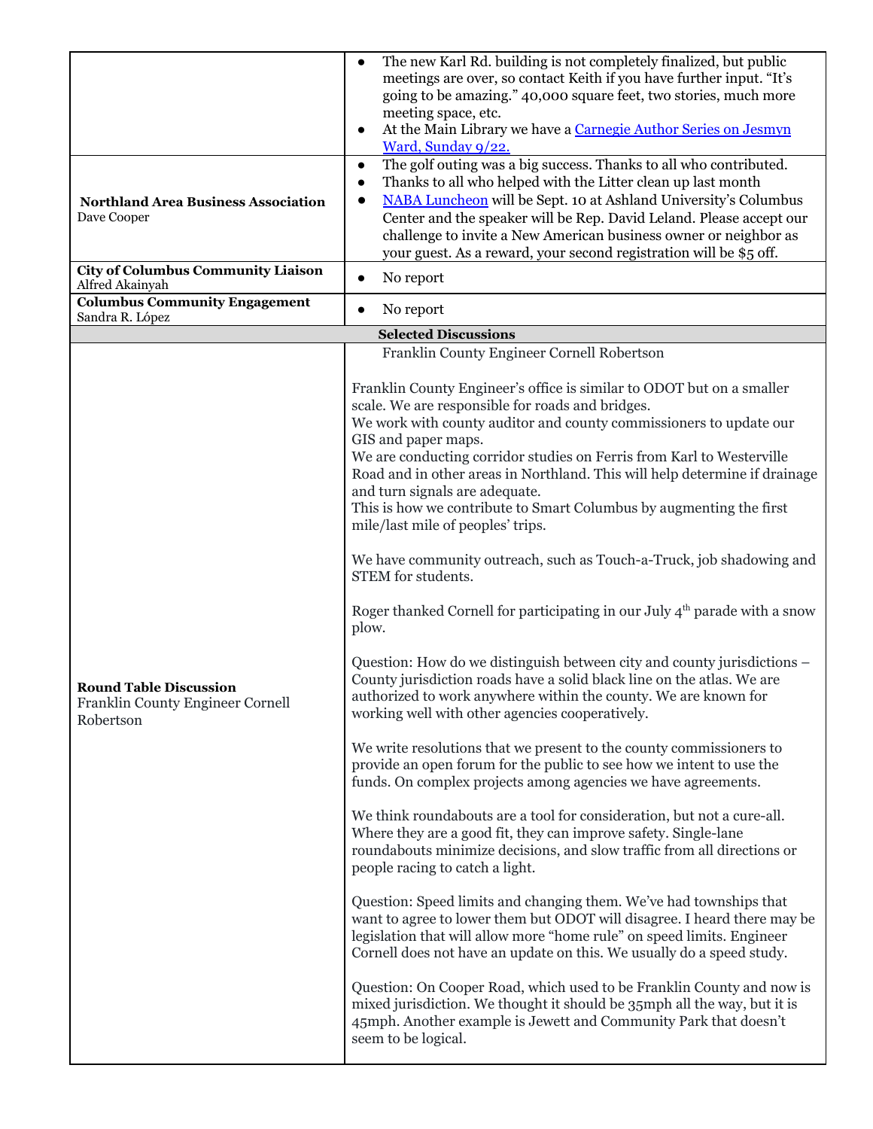|                                                                                | The new Karl Rd. building is not completely finalized, but public<br>$\bullet$<br>meetings are over, so contact Keith if you have further input. "It's                                                                                                                                                                                                                                                                                                                                                                                                                                                                                                                                                                                                                                                                                                                                                                                                                                                                                                                                                                                                                                                                                                                                                                                                                                                                                                                                                                                                                                                                                                                                                                                                                                                                                                                                                                                                                                                                        |
|--------------------------------------------------------------------------------|-------------------------------------------------------------------------------------------------------------------------------------------------------------------------------------------------------------------------------------------------------------------------------------------------------------------------------------------------------------------------------------------------------------------------------------------------------------------------------------------------------------------------------------------------------------------------------------------------------------------------------------------------------------------------------------------------------------------------------------------------------------------------------------------------------------------------------------------------------------------------------------------------------------------------------------------------------------------------------------------------------------------------------------------------------------------------------------------------------------------------------------------------------------------------------------------------------------------------------------------------------------------------------------------------------------------------------------------------------------------------------------------------------------------------------------------------------------------------------------------------------------------------------------------------------------------------------------------------------------------------------------------------------------------------------------------------------------------------------------------------------------------------------------------------------------------------------------------------------------------------------------------------------------------------------------------------------------------------------------------------------------------------------|
|                                                                                | going to be amazing." 40,000 square feet, two stories, much more                                                                                                                                                                                                                                                                                                                                                                                                                                                                                                                                                                                                                                                                                                                                                                                                                                                                                                                                                                                                                                                                                                                                                                                                                                                                                                                                                                                                                                                                                                                                                                                                                                                                                                                                                                                                                                                                                                                                                              |
|                                                                                | meeting space, etc.<br>At the Main Library we have a Carnegie Author Series on Jesmyn<br>$\bullet$                                                                                                                                                                                                                                                                                                                                                                                                                                                                                                                                                                                                                                                                                                                                                                                                                                                                                                                                                                                                                                                                                                                                                                                                                                                                                                                                                                                                                                                                                                                                                                                                                                                                                                                                                                                                                                                                                                                            |
|                                                                                | Ward, Sunday 9/22.                                                                                                                                                                                                                                                                                                                                                                                                                                                                                                                                                                                                                                                                                                                                                                                                                                                                                                                                                                                                                                                                                                                                                                                                                                                                                                                                                                                                                                                                                                                                                                                                                                                                                                                                                                                                                                                                                                                                                                                                            |
| <b>Northland Area Business Association</b><br>Dave Cooper                      | The golf outing was a big success. Thanks to all who contributed.<br>$\bullet$<br>Thanks to all who helped with the Litter clean up last month<br>$\bullet$<br>NABA Luncheon will be Sept. 10 at Ashland University's Columbus<br>Center and the speaker will be Rep. David Leland. Please accept our<br>challenge to invite a New American business owner or neighbor as<br>your guest. As a reward, your second registration will be \$5 off.                                                                                                                                                                                                                                                                                                                                                                                                                                                                                                                                                                                                                                                                                                                                                                                                                                                                                                                                                                                                                                                                                                                                                                                                                                                                                                                                                                                                                                                                                                                                                                               |
| <b>City of Columbus Community Liaison</b><br>Alfred Akainyah                   | No report<br>$\bullet$                                                                                                                                                                                                                                                                                                                                                                                                                                                                                                                                                                                                                                                                                                                                                                                                                                                                                                                                                                                                                                                                                                                                                                                                                                                                                                                                                                                                                                                                                                                                                                                                                                                                                                                                                                                                                                                                                                                                                                                                        |
| <b>Columbus Community Engagement</b>                                           | No report<br>$\bullet$                                                                                                                                                                                                                                                                                                                                                                                                                                                                                                                                                                                                                                                                                                                                                                                                                                                                                                                                                                                                                                                                                                                                                                                                                                                                                                                                                                                                                                                                                                                                                                                                                                                                                                                                                                                                                                                                                                                                                                                                        |
| Sandra R. López                                                                | <b>Selected Discussions</b>                                                                                                                                                                                                                                                                                                                                                                                                                                                                                                                                                                                                                                                                                                                                                                                                                                                                                                                                                                                                                                                                                                                                                                                                                                                                                                                                                                                                                                                                                                                                                                                                                                                                                                                                                                                                                                                                                                                                                                                                   |
|                                                                                | Franklin County Engineer Cornell Robertson                                                                                                                                                                                                                                                                                                                                                                                                                                                                                                                                                                                                                                                                                                                                                                                                                                                                                                                                                                                                                                                                                                                                                                                                                                                                                                                                                                                                                                                                                                                                                                                                                                                                                                                                                                                                                                                                                                                                                                                    |
| <b>Round Table Discussion</b><br>Franklin County Engineer Cornell<br>Robertson | Franklin County Engineer's office is similar to ODOT but on a smaller<br>scale. We are responsible for roads and bridges.<br>We work with county auditor and county commissioners to update our<br>GIS and paper maps.<br>We are conducting corridor studies on Ferris from Karl to Westerville<br>Road and in other areas in Northland. This will help determine if drainage<br>and turn signals are adequate.<br>This is how we contribute to Smart Columbus by augmenting the first<br>mile/last mile of peoples' trips.<br>We have community outreach, such as Touch-a-Truck, job shadowing and<br>STEM for students.<br>Roger thanked Cornell for participating in our July $4th$ parade with a snow<br>plow.<br>Question: How do we distinguish between city and county jurisdictions –<br>County jurisdiction roads have a solid black line on the atlas. We are<br>authorized to work anywhere within the county. We are known for<br>working well with other agencies cooperatively.<br>We write resolutions that we present to the county commissioners to<br>provide an open forum for the public to see how we intent to use the<br>funds. On complex projects among agencies we have agreements.<br>We think roundabouts are a tool for consideration, but not a cure-all.<br>Where they are a good fit, they can improve safety. Single-lane<br>roundabouts minimize decisions, and slow traffic from all directions or<br>people racing to catch a light.<br>Question: Speed limits and changing them. We've had townships that<br>want to agree to lower them but ODOT will disagree. I heard there may be<br>legislation that will allow more "home rule" on speed limits. Engineer<br>Cornell does not have an update on this. We usually do a speed study.<br>Question: On Cooper Road, which used to be Franklin County and now is<br>mixed jurisdiction. We thought it should be 35mph all the way, but it is<br>45mph. Another example is Jewett and Community Park that doesn't<br>seem to be logical. |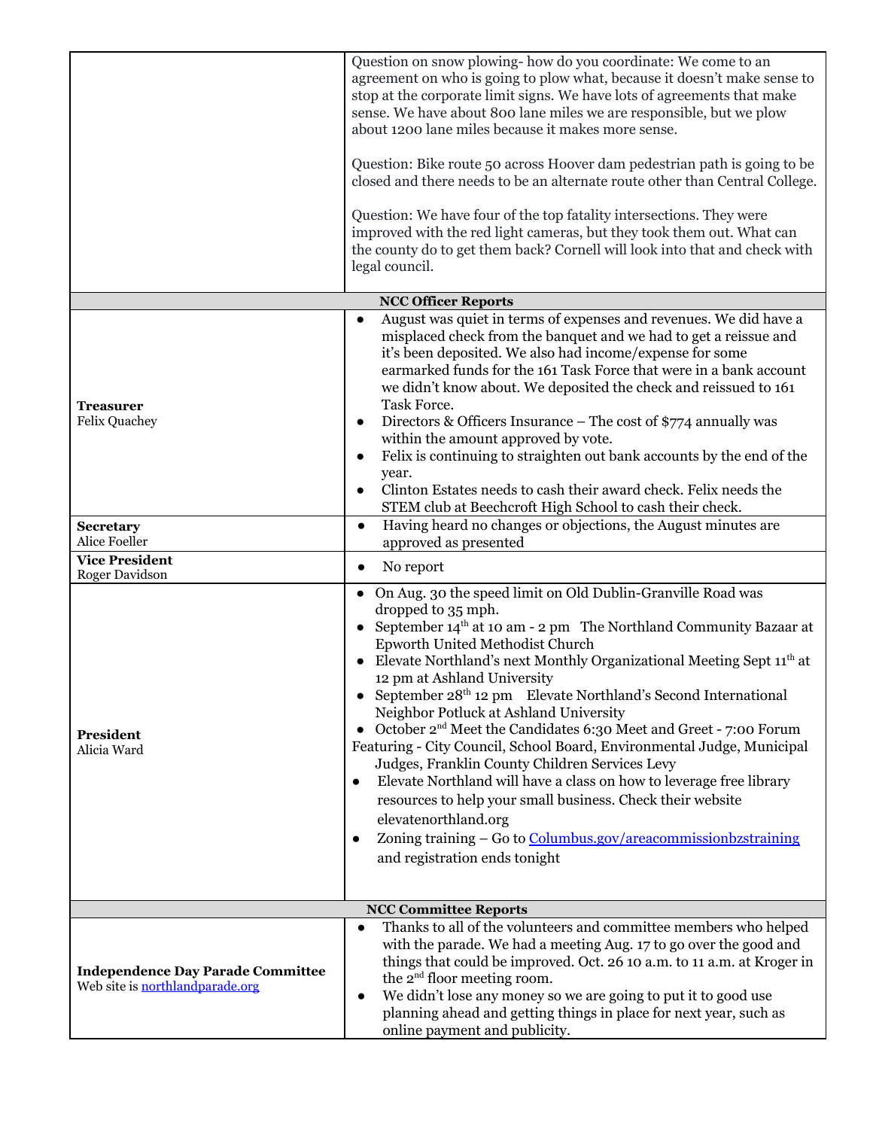|                                                                             | Question on snow plowing-how do you coordinate: We come to an<br>agreement on who is going to plow what, because it doesn't make sense to<br>stop at the corporate limit signs. We have lots of agreements that make<br>sense. We have about 800 lane miles we are responsible, but we plow<br>about 1200 lane miles because it makes more sense.<br>Question: Bike route 50 across Hoover dam pedestrian path is going to be<br>closed and there needs to be an alternate route other than Central College.<br>Question: We have four of the top fatality intersections. They were<br>improved with the red light cameras, but they took them out. What can<br>the county do to get them back? Cornell will look into that and check with<br>legal council.                                                                                                                                                                         |
|-----------------------------------------------------------------------------|--------------------------------------------------------------------------------------------------------------------------------------------------------------------------------------------------------------------------------------------------------------------------------------------------------------------------------------------------------------------------------------------------------------------------------------------------------------------------------------------------------------------------------------------------------------------------------------------------------------------------------------------------------------------------------------------------------------------------------------------------------------------------------------------------------------------------------------------------------------------------------------------------------------------------------------|
|                                                                             | <b>NCC Officer Reports</b>                                                                                                                                                                                                                                                                                                                                                                                                                                                                                                                                                                                                                                                                                                                                                                                                                                                                                                           |
| <b>Treasurer</b><br><b>Felix Quachey</b><br><b>Secretary</b>                | August was quiet in terms of expenses and revenues. We did have a<br>$\bullet$<br>misplaced check from the banquet and we had to get a reissue and<br>it's been deposited. We also had income/expense for some<br>earmarked funds for the 161 Task Force that were in a bank account<br>we didn't know about. We deposited the check and reissued to 161<br>Task Force.<br>Directors & Officers Insurance - The cost of \$774 annually was<br>$\bullet$<br>within the amount approved by vote.<br>Felix is continuing to straighten out bank accounts by the end of the<br>$\bullet$<br>year.<br>Clinton Estates needs to cash their award check. Felix needs the<br>$\bullet$<br>STEM club at Beechcroft High School to cash their check.<br>Having heard no changes or objections, the August minutes are<br>$\bullet$                                                                                                             |
| Alice Foeller<br><b>Vice President</b>                                      | approved as presented                                                                                                                                                                                                                                                                                                                                                                                                                                                                                                                                                                                                                                                                                                                                                                                                                                                                                                                |
| Roger Davidson                                                              | No report<br>$\bullet$                                                                                                                                                                                                                                                                                                                                                                                                                                                                                                                                                                                                                                                                                                                                                                                                                                                                                                               |
| President<br>Alicia Ward                                                    | • On Aug. 30 the speed limit on Old Dublin-Granville Road was<br>dropped to 35 mph.<br>September 14 <sup>th</sup> at 10 am - 2 pm The Northland Community Bazaar at<br>Epworth United Methodist Church<br>Elevate Northland's next Monthly Organizational Meeting Sept 11 <sup>th</sup> at<br>12 pm at Ashland University<br>September 28 <sup>th</sup> 12 pm Elevate Northland's Second International<br>Neighbor Potluck at Ashland University<br>• October $2^{nd}$ Meet the Candidates 6:30 Meet and Greet - 7:00 Forum<br>Featuring - City Council, School Board, Environmental Judge, Municipal<br>Judges, Franklin County Children Services Levy<br>Elevate Northland will have a class on how to leverage free library<br>$\bullet$<br>resources to help your small business. Check their website<br>elevatenorthland.org<br>Zoning training - Go to Columbus.gov/areacommissionbzstraining<br>and registration ends tonight |
|                                                                             | <b>NCC Committee Reports</b>                                                                                                                                                                                                                                                                                                                                                                                                                                                                                                                                                                                                                                                                                                                                                                                                                                                                                                         |
| <b>Independence Day Parade Committee</b><br>Web site is northlandparade.org | Thanks to all of the volunteers and committee members who helped<br>with the parade. We had a meeting Aug. 17 to go over the good and<br>things that could be improved. Oct. 26 10 a.m. to 11 a.m. at Kroger in<br>the 2 <sup>nd</sup> floor meeting room.<br>We didn't lose any money so we are going to put it to good use<br>$\bullet$<br>planning ahead and getting things in place for next year, such as<br>online payment and publicity.                                                                                                                                                                                                                                                                                                                                                                                                                                                                                      |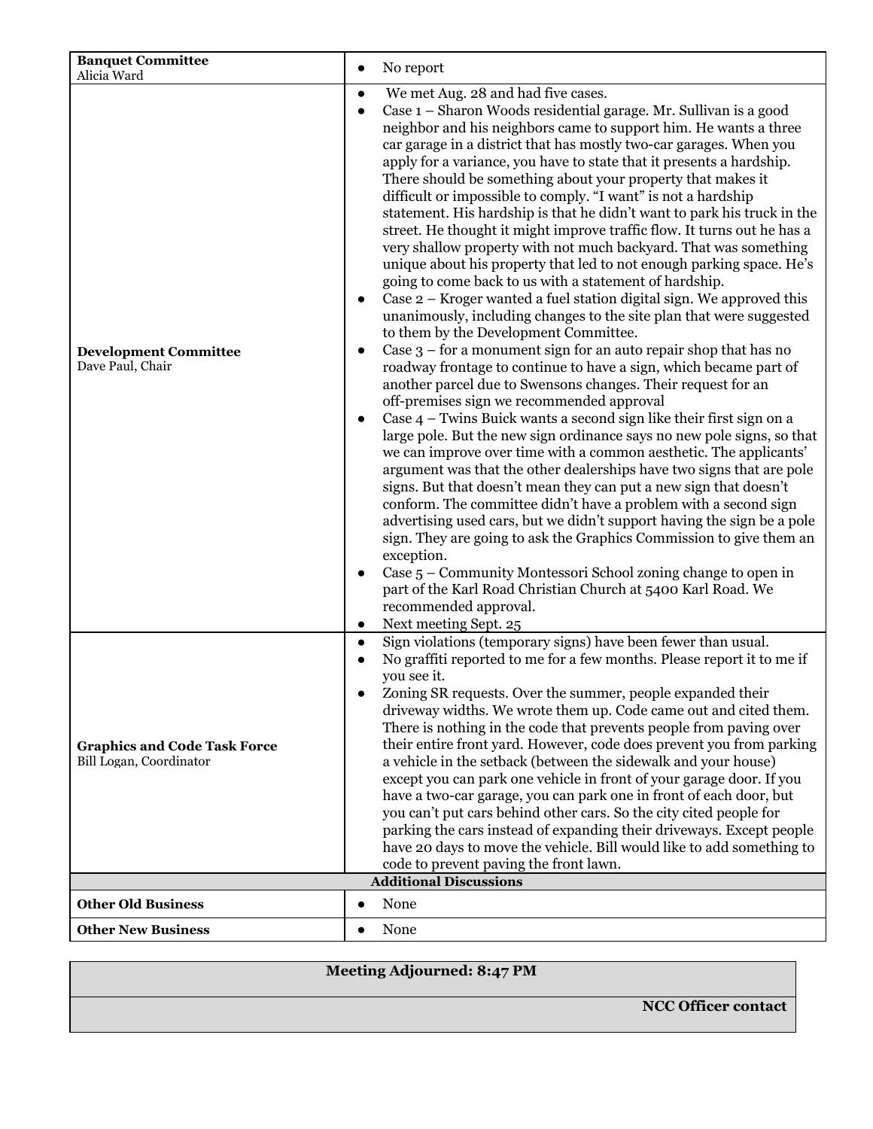| <b>Banquet Committee</b><br>Alicia Ward                        | No report<br>$\bullet$                                                                                                                                                                                                                                                                                                                                                                                                                                                                                                                                                                                                                                                                                                                                                                                                                                                                                                                                                                                                                                                                                                                                                                                                                                                                                                                                                                                                                                                                                                                                                                                                                                                                                                                                                                                                                                                                                                                                                                                                                                                    |
|----------------------------------------------------------------|---------------------------------------------------------------------------------------------------------------------------------------------------------------------------------------------------------------------------------------------------------------------------------------------------------------------------------------------------------------------------------------------------------------------------------------------------------------------------------------------------------------------------------------------------------------------------------------------------------------------------------------------------------------------------------------------------------------------------------------------------------------------------------------------------------------------------------------------------------------------------------------------------------------------------------------------------------------------------------------------------------------------------------------------------------------------------------------------------------------------------------------------------------------------------------------------------------------------------------------------------------------------------------------------------------------------------------------------------------------------------------------------------------------------------------------------------------------------------------------------------------------------------------------------------------------------------------------------------------------------------------------------------------------------------------------------------------------------------------------------------------------------------------------------------------------------------------------------------------------------------------------------------------------------------------------------------------------------------------------------------------------------------------------------------------------------------|
| <b>Development Committee</b><br>Dave Paul, Chair               | We met Aug. 28 and had five cases.<br>$\bullet$<br>Case 1 - Sharon Woods residential garage. Mr. Sullivan is a good<br>neighbor and his neighbors came to support him. He wants a three<br>car garage in a district that has mostly two-car garages. When you<br>apply for a variance, you have to state that it presents a hardship.<br>There should be something about your property that makes it<br>difficult or impossible to comply. "I want" is not a hardship<br>statement. His hardship is that he didn't want to park his truck in the<br>street. He thought it might improve traffic flow. It turns out he has a<br>very shallow property with not much backyard. That was something<br>unique about his property that led to not enough parking space. He's<br>going to come back to us with a statement of hardship.<br>Case 2 – Kroger wanted a fuel station digital sign. We approved this<br>unanimously, including changes to the site plan that were suggested<br>to them by the Development Committee.<br>Case $3$ – for a monument sign for an auto repair shop that has no<br>roadway frontage to continue to have a sign, which became part of<br>another parcel due to Swensons changes. Their request for an<br>off-premises sign we recommended approval<br>Case 4 - Twins Buick wants a second sign like their first sign on a<br>large pole. But the new sign ordinance says no new pole signs, so that<br>we can improve over time with a common aesthetic. The applicants'<br>argument was that the other dealerships have two signs that are pole<br>signs. But that doesn't mean they can put a new sign that doesn't<br>conform. The committee didn't have a problem with a second sign<br>advertising used cars, but we didn't support having the sign be a pole<br>sign. They are going to ask the Graphics Commission to give them an<br>exception.<br>Case 5 – Community Montessori School zoning change to open in<br>part of the Karl Road Christian Church at 5400 Karl Road. We<br>recommended approval.<br>Next meeting Sept. 25 |
| <b>Graphics and Code Task Force</b><br>Bill Logan, Coordinator | Sign violations (temporary signs) have been fewer than usual.<br>$\bullet$<br>No graffiti reported to me for a few months. Please report it to me if<br>you see it.<br>Zoning SR requests. Over the summer, people expanded their<br>driveway widths. We wrote them up. Code came out and cited them.<br>There is nothing in the code that prevents people from paving over<br>their entire front yard. However, code does prevent you from parking<br>a vehicle in the setback (between the sidewalk and your house)<br>except you can park one vehicle in front of your garage door. If you<br>have a two-car garage, you can park one in front of each door, but<br>you can't put cars behind other cars. So the city cited people for<br>parking the cars instead of expanding their driveways. Except people<br>have 20 days to move the vehicle. Bill would like to add something to<br>code to prevent paving the front lawn.<br><b>Additional Discussions</b>                                                                                                                                                                                                                                                                                                                                                                                                                                                                                                                                                                                                                                                                                                                                                                                                                                                                                                                                                                                                                                                                                                     |
| <b>Other Old Business</b>                                      | None<br>$\bullet$                                                                                                                                                                                                                                                                                                                                                                                                                                                                                                                                                                                                                                                                                                                                                                                                                                                                                                                                                                                                                                                                                                                                                                                                                                                                                                                                                                                                                                                                                                                                                                                                                                                                                                                                                                                                                                                                                                                                                                                                                                                         |
| <b>Other New Business</b>                                      | None<br>$\bullet$                                                                                                                                                                                                                                                                                                                                                                                                                                                                                                                                                                                                                                                                                                                                                                                                                                                                                                                                                                                                                                                                                                                                                                                                                                                                                                                                                                                                                                                                                                                                                                                                                                                                                                                                                                                                                                                                                                                                                                                                                                                         |

| Meeting Adjourned: 8:47 PM |
|----------------------------|
| <b>NCC Officer contact</b> |